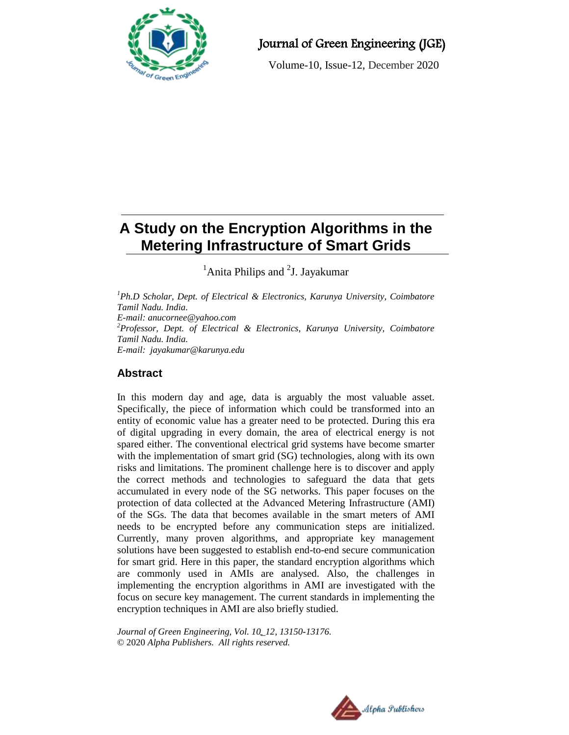

# Journal of Green Engineering (JGE)

Volume-10, Issue-12, December 2020

# **A Study on the Encryption Algorithms in the Metering Infrastructure of Smart Grids**

 $<sup>1</sup>$ Anita Philips and  $<sup>2</sup>$ J. Jayakumar</sup></sup>

*<sup>1</sup>Ph.D Scholar, Dept. of Electrical & Electronics, Karunya University, Coimbatore Tamil Nadu. India. E-mail: [anucornee@yahoo.com](mailto:anucornee@yahoo.com) <sup>2</sup>Professor, Dept. of Electrical & Electronics, Karunya University, Coimbatore Tamil Nadu. India. E-mail: jayakumar@karunya.edu*

# **Abstract**

In this modern day and age, data is arguably the most valuable asset. Specifically, the piece of information which could be transformed into an entity of economic value has a greater need to be protected. During this era of digital upgrading in every domain, the area of electrical energy is not spared either. The conventional electrical grid systems have become smarter with the implementation of smart grid (SG) technologies, along with its own risks and limitations. The prominent challenge here is to discover and apply the correct methods and technologies to safeguard the data that gets accumulated in every node of the SG networks. This paper focuses on the protection of data collected at the Advanced Metering Infrastructure (AMI) of the SGs. The data that becomes available in the smart meters of AMI needs to be encrypted before any communication steps are initialized. Currently, many proven algorithms, and appropriate key management solutions have been suggested to establish end-to-end secure communication for smart grid. Here in this paper, the standard encryption algorithms which are commonly used in AMIs are analysed. Also, the challenges in implementing the encryption algorithms in AMI are investigated with the focus on secure key management. The current standards in implementing the encryption techniques in AMI are also briefly studied.

*Journal of Green Engineering, Vol. 10\_12, 13150-13176.* © 2020 *Alpha Publishers. All rights reserved.*

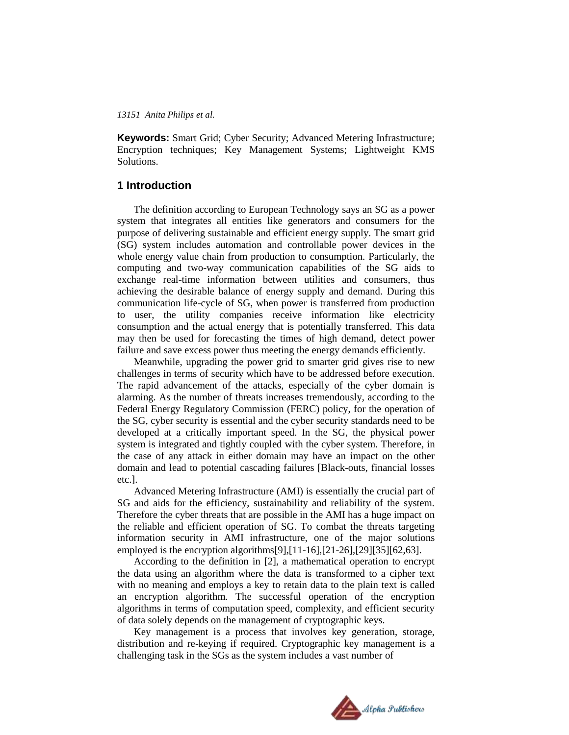**Keywords:** Smart Grid; Cyber Security; Advanced Metering Infrastructure; Encryption techniques; Key Management Systems; Lightweight KMS Solutions.

# **1 Introduction**

The definition according to European Technology says an SG as a power system that integrates all entities like generators and consumers for the purpose of delivering sustainable and efficient energy supply. The smart grid (SG) system includes automation and controllable power devices in the whole energy value chain from production to consumption. Particularly, the computing and two-way communication capabilities of the SG aids to exchange real-time information between utilities and consumers, thus achieving the desirable balance of energy supply and demand. During this communication life-cycle of SG, when power is transferred from production to user, the utility companies receive information like electricity consumption and the actual energy that is potentially transferred. This data may then be used for forecasting the times of high demand, detect power failure and save excess power thus meeting the energy demands efficiently.

Meanwhile, upgrading the power grid to smarter grid gives rise to new challenges in terms of security which have to be addressed before execution. The rapid advancement of the attacks, especially of the cyber domain is alarming. As the number of threats increases tremendously, according to the Federal Energy Regulatory Commission (FERC) policy, for the operation of the SG, cyber security is essential and the cyber security standards need to be developed at a critically important speed. In the SG, the physical power system is integrated and tightly coupled with the cyber system. Therefore, in the case of any attack in either domain may have an impact on the other domain and lead to potential cascading failures [Black-outs, financial losses etc.].

Advanced Metering Infrastructure (AMI) is essentially the crucial part of SG and aids for the efficiency, sustainability and reliability of the system. Therefore the cyber threats that are possible in the AMI has a huge impact on the reliable and efficient operation of SG. To combat the threats targeting information security in AMI infrastructure, one of the major solutions employed is the encryption algorithms[9],[11-16],[21-26],[29][35][62,63].

According to the definition in [2], a mathematical operation to encrypt the data using an algorithm where the data is transformed to a cipher text with no meaning and employs a key to retain data to the plain text is called an encryption algorithm. The successful operation of the encryption algorithms in terms of computation speed, complexity, and efficient security of data solely depends on the management of cryptographic keys.

Key management is a process that involves key generation, storage, distribution and re-keying if required. Cryptographic key management is a challenging task in the SGs as the system includes a vast number of

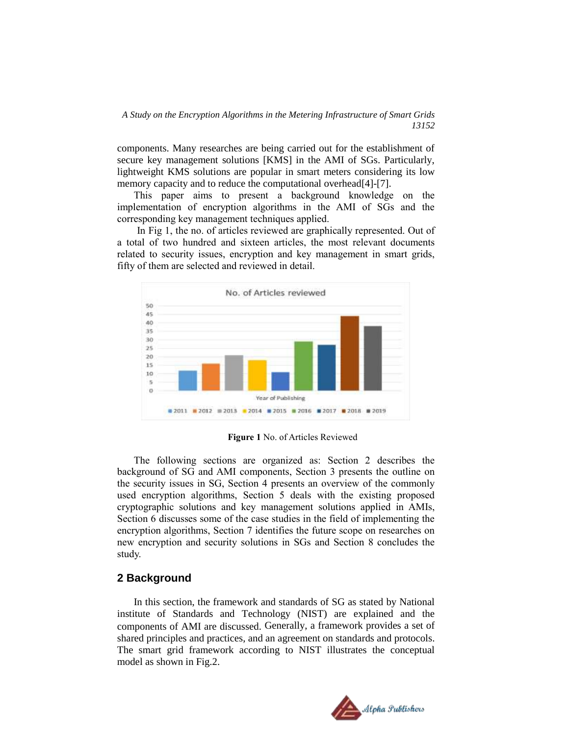components. Many researches are being carried out for the establishment of secure key management solutions [KMS] in the AMI of SGs. Particularly, lightweight KMS solutions are popular in smart meters considering its low memory capacity and to reduce the computational overhead[4]-[7].

This paper aims to present a background knowledge on the implementation of encryption algorithms in the AMI of SGs and the corresponding key management techniques applied.

In Fig 1, the no. of articles reviewed are graphically represented. Out of a total of two hundred and sixteen articles, the most relevant documents related to security issues, encryption and key management in smart grids, fifty of them are selected and reviewed in detail.



**Figure 1** No. of Articles Reviewed

The following sections are organized as: Section 2 describes the background of SG and AMI components, Section 3 presents the outline on the security issues in SG, Section 4 presents an overview of the commonly used encryption algorithms, Section 5 deals with the existing proposed cryptographic solutions and key management solutions applied in AMIs, Section 6 discusses some of the case studies in the field of implementing the encryption algorithms, Section 7 identifies the future scope on researches on new encryption and security solutions in SGs and Section 8 concludes the study.

# **2 Background**

In this section, the framework and standards of SG as stated by National institute of Standards and Technology (NIST) are explained and the components of AMI are discussed. Generally, a framework provides a set of shared principles and practices, and an agreement on standards and protocols. The smart grid framework according to NIST illustrates the conceptual model as shown in Fig.2.

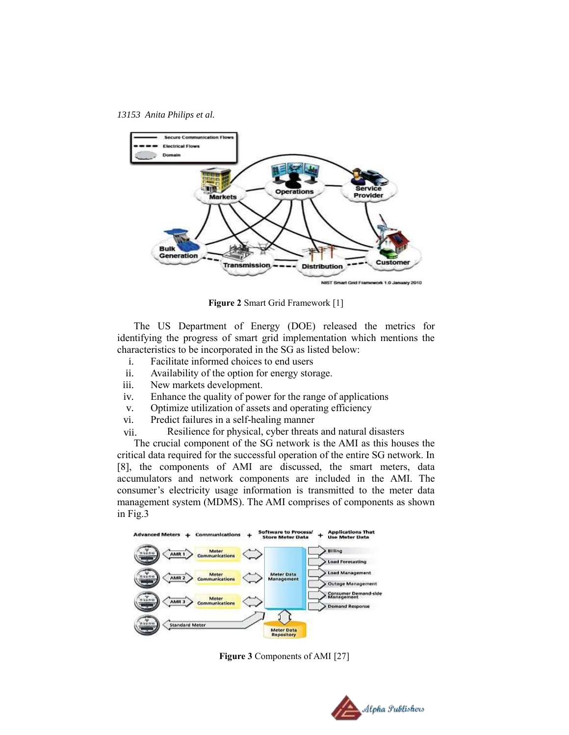

**Figure 2** Smart Grid Framework [1]

The US Department of Energy (DOE) released the metrics for identifying the progress of smart grid implementation which mentions the characteristics to be incorporated in the SG as listed below:

- i. Facilitate informed choices to end users
- ii. Availability of the option for energy storage.
- iii. New markets development.
- iv. Enhance the quality of power for the range of applications
- v. Optimize utilization of assets and operating efficiency
- vi. Predict failures in a self-healing manner
- vii. Resilience for physical, cyber threats and natural disasters

The crucial component of the SG network is the AMI as this houses the critical data required for the successful operation of the entire SG network. In [8], the components of AMI are discussed, the smart meters, data accumulators and network components are included in the AMI. The consumer"s electricity usage information is transmitted to the meter data management system (MDMS). The AMI comprises of components as shown in Fig.3



**Figure 3** Components of AMI [27]

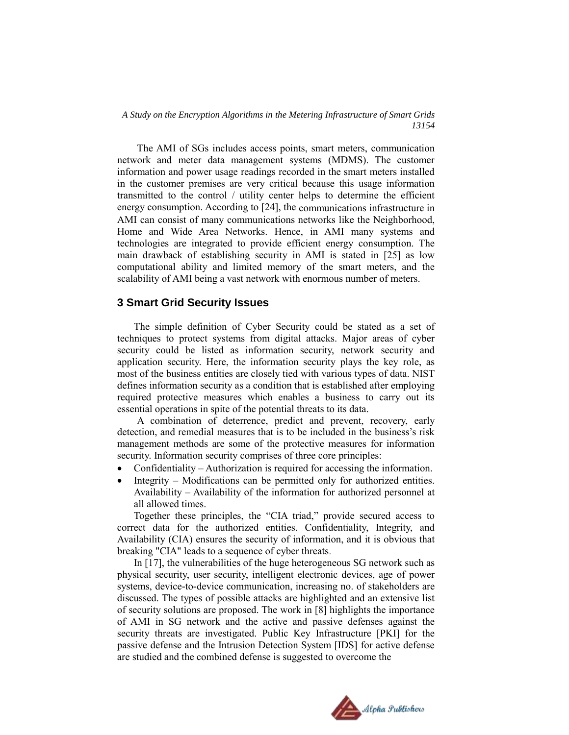The AMI of SGs includes access points, smart meters, communication network and meter data management systems (MDMS). The customer information and power usage readings recorded in the smart meters installed in the customer premises are very critical because this usage information transmitted to the control / utility center helps to determine the efficient energy consumption. According to [24], the communications infrastructure in AMI can consist of many communications networks like the Neighborhood, Home and Wide Area Networks. Hence, in AMI many systems and technologies are integrated to provide efficient energy consumption. The main drawback of establishing security in AMI is stated in [25] as low computational ability and limited memory of the smart meters, and the scalability of AMI being a vast network with enormous number of meters.

# **3 Smart Grid Security Issues**

The simple definition of Cyber Security could be stated as a set of techniques to protect systems from digital attacks. Major areas of cyber security could be listed as information security, network security and application security. Here, the information security plays the key role, as most of the business entities are closely tied with various types of data. NIST defines information security as a condition that is established after employing required protective measures which enables a business to carry out its essential operations in spite of the potential threats to its data.

A combination of deterrence, predict and prevent, recovery, early detection, and remedial measures that is to be included in the business"s risk management methods are some of the protective measures for information security. Information security comprises of three core principles:

- Confidentiality Authorization is required for accessing the information.
- Integrity Modifications can be permitted only for authorized entities. Availability – Availability of the information for authorized personnel at all allowed times.

Together these principles, the "CIA triad," provide secured access to correct data for the authorized entities. Confidentiality, Integrity, and Availability (CIA) ensures the security of information, and it is obvious that breaking "CIA" leads to a sequence of cyber threats.

In [17], the vulnerabilities of the huge heterogeneous SG network such as physical security, user security, intelligent electronic devices, age of power systems, device-to-device communication, increasing no. of stakeholders are discussed. The types of possible attacks are highlighted and an extensive list of security solutions are proposed. The work in [8] highlights the importance of AMI in SG network and the active and passive defenses against the security threats are investigated. Public Key Infrastructure [PKI] for the passive defense and the Intrusion Detection System [IDS] for active defense are studied and the combined defense is suggested to overcome the

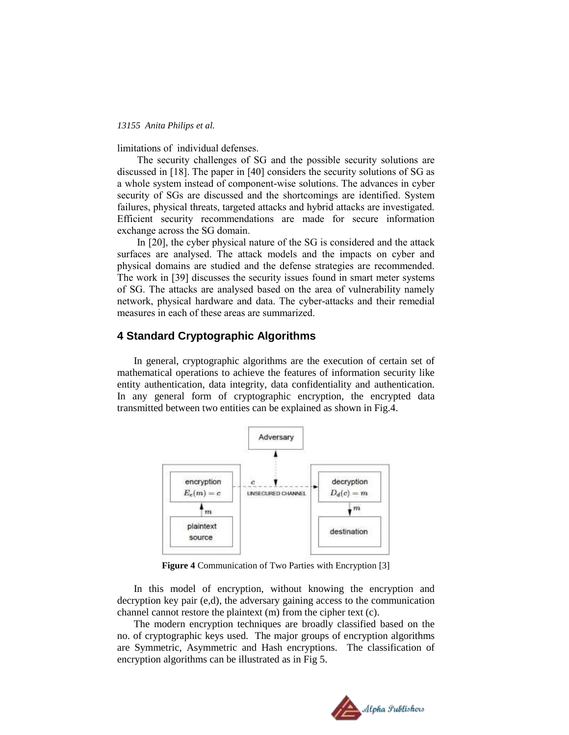limitations of individual defenses.

The security challenges of SG and the possible security solutions are discussed in [18]. The paper in [40] considers the security solutions of SG as a whole system instead of component-wise solutions. The advances in cyber security of SGs are discussed and the shortcomings are identified. System failures, physical threats, targeted attacks and hybrid attacks are investigated. Efficient security recommendations are made for secure information exchange across the SG domain.

In [20], the cyber physical nature of the SG is considered and the attack surfaces are analysed. The attack models and the impacts on cyber and physical domains are studied and the defense strategies are recommended. The work in [39] discusses the security issues found in smart meter systems of SG. The attacks are analysed based on the area of vulnerability namely network, physical hardware and data. The cyber-attacks and their remedial measures in each of these areas are summarized.

# **4 Standard Cryptographic Algorithms**

In general, cryptographic algorithms are the execution of certain set of mathematical operations to achieve the features of information security like entity authentication, data integrity, data confidentiality and authentication. In any general form of cryptographic encryption, the encrypted data transmitted between two entities can be explained as shown in Fig.4.



**Figure 4** Communication of Two Parties with Encryption [3]

In this model of encryption, without knowing the encryption and decryption key pair (e,d), the adversary gaining access to the communication channel cannot restore the plaintext (m) from the cipher text (c).

The modern encryption techniques are broadly classified based on the no. of cryptographic keys used. The major groups of encryption algorithms are Symmetric, Asymmetric and Hash encryptions. The classification of encryption algorithms can be illustrated as in Fig 5.

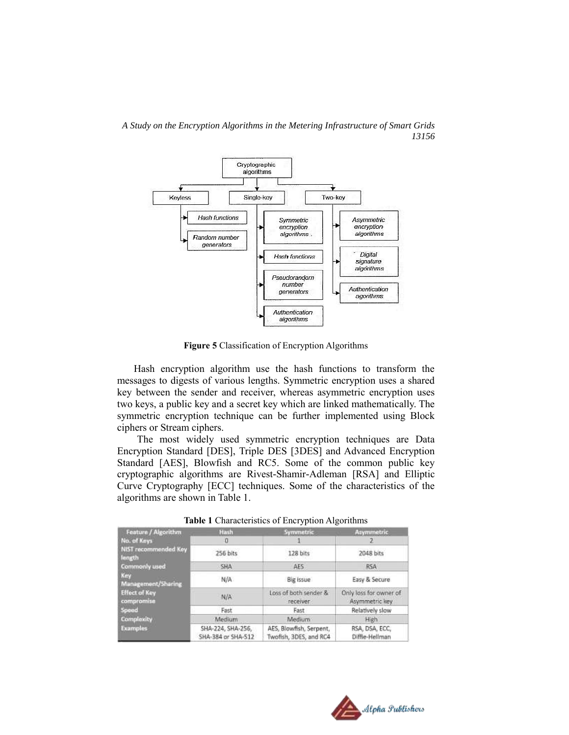

**Figure 5** Classification of Encryption Algorithms

Hash encryption algorithm use the hash functions to transform the messages to digests of various lengths. Symmetric encryption uses a shared key between the sender and receiver, whereas asymmetric encryption uses two keys, a public key and a secret key which are linked mathematically. The symmetric encryption technique can be further implemented using Block ciphers or Stream ciphers.

The most widely used symmetric encryption techniques are Data Encryption Standard [DES], Triple DES [3DES] and Advanced Encryption Standard [AES], Blowfish and RC5. Some of the common public key cryptographic algorithms are Rivest-Shamir-Adleman [RSA] and Elliptic Curve Cryptography [ECC] techniques. Some of the characteristics of the algorithms are shown in Table 1.

| Feature / Algorithm                | Hash                                    | Symmetric                                         | Asymmetric                               |  |
|------------------------------------|-----------------------------------------|---------------------------------------------------|------------------------------------------|--|
| No. of Keys                        | Ð                                       |                                                   |                                          |  |
| NIST recommended Key<br>length     | 256 bits                                | 128 bits                                          | 2048 bits                                |  |
| <b>Commonly used</b>               | SHA                                     | <b>AES</b>                                        | <b>RSA</b>                               |  |
| Key<br>Management/Sharing          | N/A                                     | Big issue                                         | Easy & Secure                            |  |
| <b>Effect of Key</b><br>compromise | N/A                                     | Loss of both sender &<br>receiver                 | Only loss for owner of<br>Asymmetric key |  |
| <b>Speed</b>                       | Fast                                    | Fast                                              | Relatively slow                          |  |
| <b>Complexity</b>                  | Medium                                  | Medium                                            | High                                     |  |
| <b>Examples</b>                    | SHA-224, SHA-256,<br>SHA-384 or SHA-512 | AES, Blowfish, Serpent,<br>Twofish, 3DES, and RC4 | RSA, DSA, ECC.<br>Diffie-Hellman         |  |

**Table 1** Characteristics of Encryption Algorithms

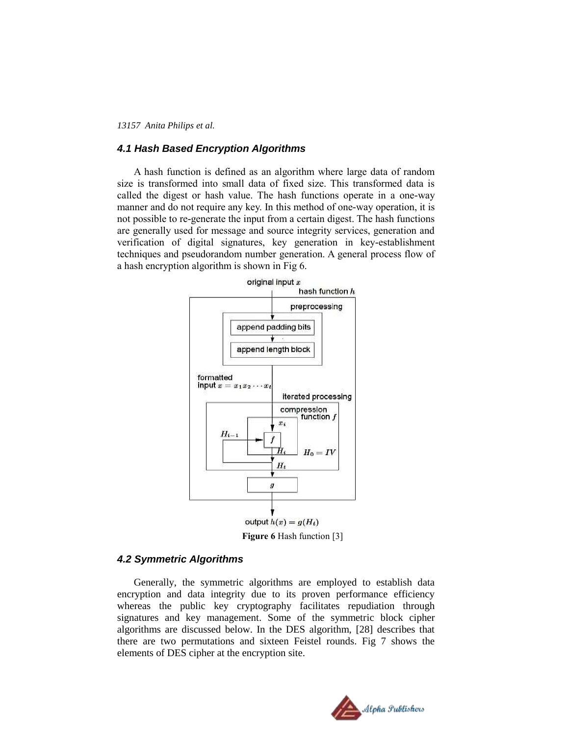# *4.1 Hash Based Encryption Algorithms*

A hash function is defined as an algorithm where large data of random size is transformed into small data of fixed size. This transformed data is called the digest or hash value. The hash functions operate in a one-way manner and do not require any key. In this method of one-way operation, it is not possible to re-generate the input from a certain digest. The hash functions are generally used for message and source integrity services, generation and verification of digital signatures, key generation in key-establishment techniques and pseudorandom number generation. A general process flow of a hash encryption algorithm is shown in Fig 6.



### *4.2 Symmetric Algorithms*

Generally, the symmetric algorithms are employed to establish data encryption and data integrity due to its proven performance efficiency whereas the public key cryptography facilitates repudiation through signatures and key management. Some of the symmetric block cipher algorithms are discussed below. In the DES algorithm, [28] describes that there are two permutations and sixteen Feistel rounds. Fig 7 shows the elements of DES cipher at the encryption site.

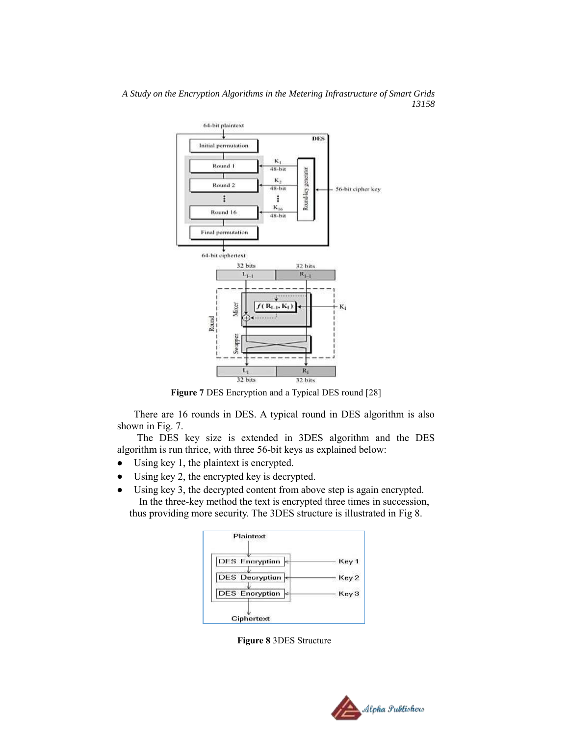

*A Study on the Encryption Algorithms in the Metering Infrastructure of Smart Grids 13158*

**Figure 7** DES Encryption and a Typical DES round [28]

There are 16 rounds in DES. A typical round in DES algorithm is also shown in Fig. 7.

The DES key size is extended in 3DES algorithm and the DES algorithm is run thrice, with three 56-bit keys as explained below:

- Using key 1, the plaintext is encrypted.
- Using key 2, the encrypted key is decrypted.
- Using key 3, the decrypted content from above step is again encrypted. In the three-key method the text is encrypted three times in succession, thus providing more security. The 3DES structure is illustrated in Fig 8.



**Figure 8** 3DES Structure

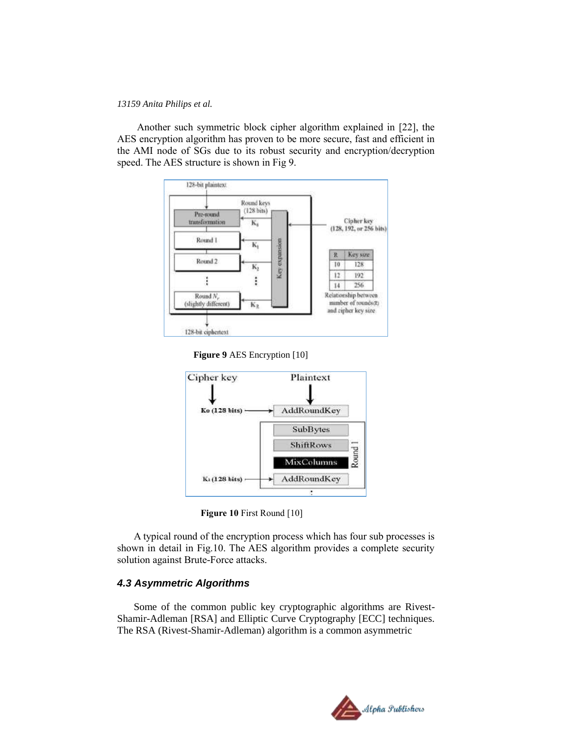Another such symmetric block cipher algorithm explained in [22], the AES encryption algorithm has proven to be more secure, fast and efficient in the AMI node of SGs due to its robust security and encryption/decryption speed. The AES structure is shown in Fig 9.







**Figure 10** First Round [10]

A typical round of the encryption process which has four sub processes is shown in detail in Fig.10. The AES algorithm provides a complete security solution against Brute-Force attacks.

# *4.3 Asymmetric Algorithms*

Some of the common public key cryptographic algorithms are Rivest-Shamir-Adleman [RSA] and Elliptic Curve Cryptography [ECC] techniques. The RSA (Rivest-Shamir-Adleman) algorithm is a common asymmetric

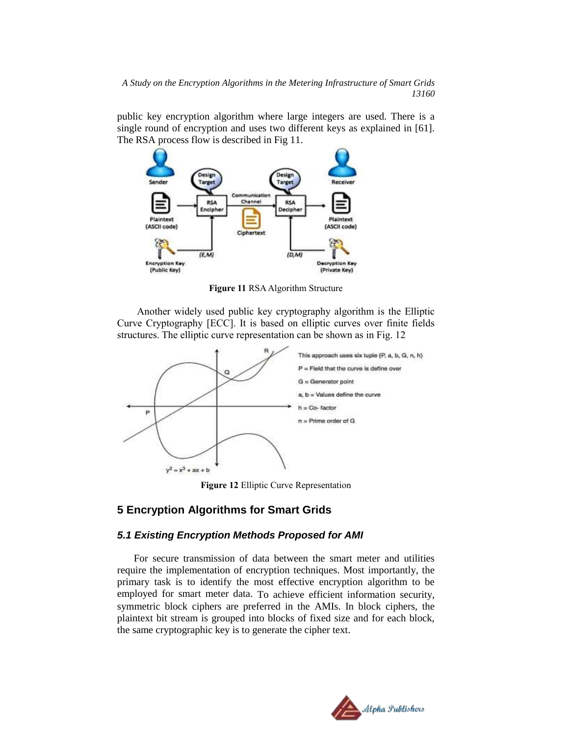public key encryption algorithm where large integers are used. There is a single round of encryption and uses two different keys as explained in [61]. The RSA process flow is described in Fig 11.



**Figure 11** RSA Algorithm Structure

Another widely used public key cryptography algorithm is the Elliptic Curve Cryptography [ECC]. It is based on elliptic curves over finite fields structures. The elliptic curve representation can be shown as in Fig. 12



**Figure 12** Elliptic Curve Representation

# **5 Encryption Algorithms for Smart Grids**

# *5.1 Existing Encryption Methods Proposed for AMI*

For secure transmission of data between the smart meter and utilities require the implementation of encryption techniques. Most importantly, the primary task is to identify the most effective encryption algorithm to be employed for smart meter data. To achieve efficient information security, symmetric block ciphers are preferred in the AMIs. In block ciphers, the plaintext bit stream is grouped into blocks of fixed size and for each block, the same cryptographic key is to generate the cipher text.

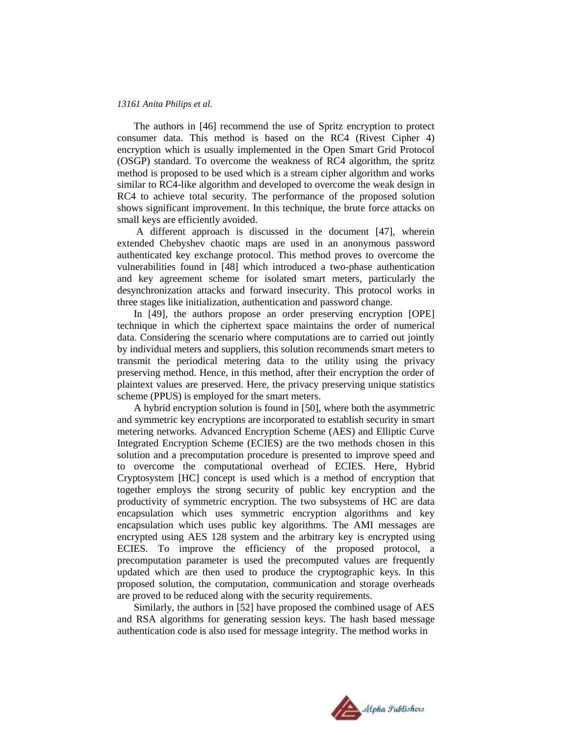The authors in [46] recommend the use of Spritz encryption to protect consumer data. This method is based on the RC4 (Rivest Cipher 4) encryption which is usually implemented in the Open Smart Grid Protocol (OSGP) standard. To overcome the weakness of RC4 algorithm, the spritz method is proposed to be used which is a stream cipher algorithm and works similar to RC4-like algorithm and developed to overcome the weak design in RC4 to achieve total security. The performance of the proposed solution shows significant improvement. In this technique, the brute force attacks on small keys are efficiently avoided.

A different approach is discussed in the document [47], wherein extended Chebyshev chaotic maps are used in an anonymous password authenticated key exchange protocol. This method proves to overcome the vulnerabilities found in [48] which introduced a two-phase authentication and key agreement scheme for isolated smart meters, particularly the desynchronization attacks and forward insecurity. This protocol works in three stages like initialization, authentication and password change.

In [49], the authors propose an order preserving encryption [OPE] technique in which the ciphertext space maintains the order of numerical data. Considering the scenario where computations are to carried out jointly by individual meters and suppliers, this solution recommends smart meters to transmit the periodical metering data to the utility using the privacy preserving method. Hence, in this method, after their encryption the order of plaintext values are preserved. Here, the privacy preserving unique statistics scheme (PPUS) is employed for the smart meters.

A hybrid encryption solution is found in [50], where both the asymmetric and symmetric key encryptions are incorporated to establish security in smart metering networks. Advanced Encryption Scheme (AES) and Elliptic Curve Integrated Encryption Scheme (ECIES) are the two methods chosen in this solution and a precomputation procedure is presented to improve speed and to overcome the computational overhead of ECIES. Here, Hybrid Cryptosystem [HC] concept is used which is a method of encryption that together employs the strong security of public key encryption and the productivity of symmetric encryption. The two subsystems of HC are data encapsulation which uses symmetric encryption algorithms and key encapsulation which uses public key algorithms. The AMI messages are encrypted using AES 128 system and the arbitrary key is encrypted using ECIES. To improve the efficiency of the proposed protocol, a precomputation parameter is used the precomputed values are frequently updated which are then used to produce the cryptographic keys. In this proposed solution, the computation, communication and storage overheads are proved to be reduced along with the security requirements.

Similarly, the authors in [52] have proposed the combined usage of AES and RSA algorithms for generating session keys. The hash based message authentication code is also used for message integrity. The method works in

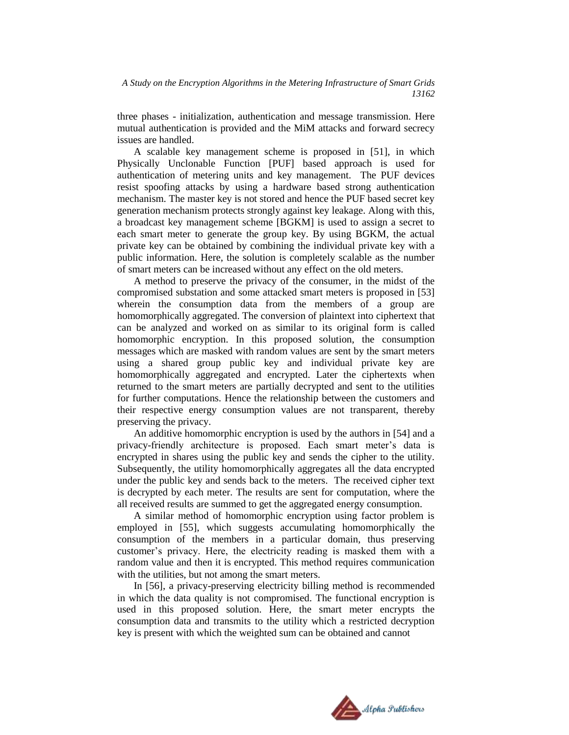three phases - initialization, authentication and message transmission. Here mutual authentication is provided and the MiM attacks and forward secrecy issues are handled.

A scalable key management scheme is proposed in [51], in which Physically Unclonable Function [PUF] based approach is used for authentication of metering units and key management. The PUF devices resist spoofing attacks by using a hardware based strong authentication mechanism. The master key is not stored and hence the PUF based secret key generation mechanism protects strongly against key leakage. Along with this, a broadcast key management scheme [BGKM] is used to assign a secret to each smart meter to generate the group key. By using BGKM, the actual private key can be obtained by combining the individual private key with a public information. Here, the solution is completely scalable as the number of smart meters can be increased without any effect on the old meters.

A method to preserve the privacy of the consumer, in the midst of the compromised substation and some attacked smart meters is proposed in [53] wherein the consumption data from the members of a group are homomorphically aggregated. The conversion of plaintext into ciphertext that can be analyzed and worked on as similar to its original form is called homomorphic encryption. In this proposed solution, the consumption messages which are masked with random values are sent by the smart meters using a shared group public key and individual private key are homomorphically aggregated and encrypted. Later the ciphertexts when returned to the smart meters are partially decrypted and sent to the utilities for further computations. Hence the relationship between the customers and their respective energy consumption values are not transparent, thereby preserving the privacy.

An additive homomorphic encryption is used by the authors in [54] and a privacy-friendly architecture is proposed. Each smart meter"s data is encrypted in shares using the public key and sends the cipher to the utility. Subsequently, the utility homomorphically aggregates all the data encrypted under the public key and sends back to the meters. The received cipher text is decrypted by each meter. The results are sent for computation, where the all received results are summed to get the aggregated energy consumption.

A similar method of homomorphic encryption using factor problem is employed in [55], which suggests accumulating homomorphically the consumption of the members in a particular domain, thus preserving customer"s privacy. Here, the electricity reading is masked them with a random value and then it is encrypted. This method requires communication with the utilities, but not among the smart meters.

In [56], a privacy-preserving electricity billing method is recommended in which the data quality is not compromised. The functional encryption is used in this proposed solution. Here, the smart meter encrypts the consumption data and transmits to the utility which a restricted decryption key is present with which the weighted sum can be obtained and cannot

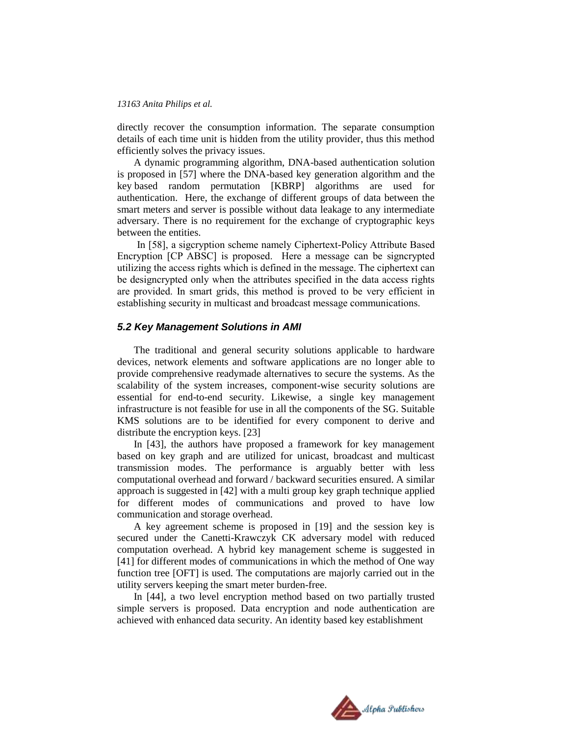directly recover the consumption information. The separate consumption details of each time unit is hidden from the utility provider, thus this method efficiently solves the privacy issues.

A dynamic programming algorithm, DNA-based authentication solution is proposed in [57] where the DNA-based key generation algorithm and the key based random permutation [KBRP] algorithms are used for authentication. Here, the exchange of different groups of data between the smart meters and server is possible without data leakage to any intermediate adversary. There is no requirement for the exchange of cryptographic keys between the entities.

In [58], a sigcryption scheme namely Ciphertext-Policy Attribute Based Encryption [CP ABSC] is proposed. Here a message can be signcrypted utilizing the access rights which is defined in the message. The ciphertext can be designcrypted only when the attributes specified in the data access rights are provided. In smart grids, this method is proved to be very efficient in establishing security in multicast and broadcast message communications.

### *5.2 Key Management Solutions in AMI*

The traditional and general security solutions applicable to hardware devices, network elements and software applications are no longer able to provide comprehensive readymade alternatives to secure the systems. As the scalability of the system increases, component-wise security solutions are essential for end-to-end security. Likewise, a single key management infrastructure is not feasible for use in all the components of the SG. Suitable KMS solutions are to be identified for every component to derive and distribute the encryption keys. [23]

In [43], the authors have proposed a framework for key management based on key graph and are utilized for unicast, broadcast and multicast transmission modes. The performance is arguably better with less computational overhead and forward / backward securities ensured. A similar approach is suggested in [42] with a multi group key graph technique applied for different modes of communications and proved to have low communication and storage overhead.

A key agreement scheme is proposed in [19] and the session key is secured under the Canetti-Krawczyk CK adversary model with reduced computation overhead. A hybrid key management scheme is suggested in [41] for different modes of communications in which the method of One way function tree [OFT] is used. The computations are majorly carried out in the utility servers keeping the smart meter burden-free.

In [44], a two level encryption method based on two partially trusted simple servers is proposed. Data encryption and node authentication are achieved with enhanced data security. An identity based key establishment

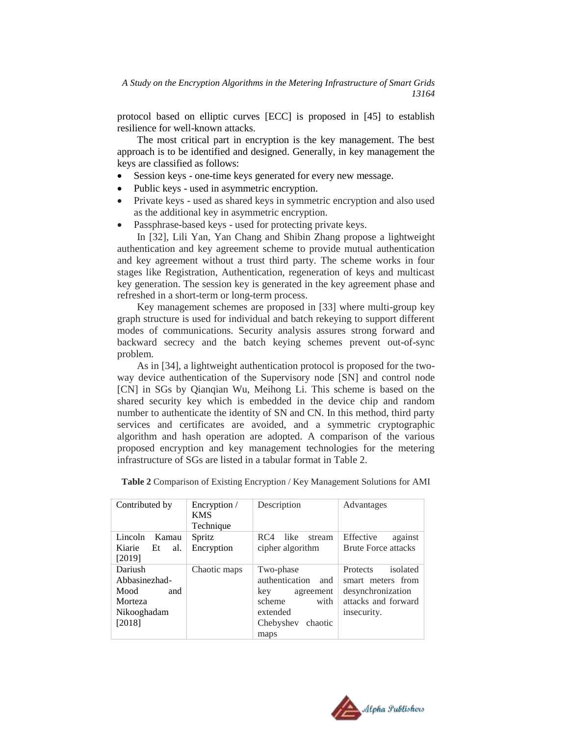protocol based on elliptic curves [ECC] is proposed in [45] to establish resilience for well-known attacks.

The most critical part in encryption is the key management. The best approach is to be identified and designed. Generally, in key management the keys are classified as follows:

- Session keys one-time keys generated for every new message.
- Public keys used in asymmetric encryption.
- Private keys used as shared keys in symmetric encryption and also used as the additional key in asymmetric encryption.
- Passphrase-based keys used for protecting private keys.

In [32], Lili Yan, Yan Chang and Shibin Zhang propose a lightweight authentication and key agreement scheme to provide mutual authentication and key agreement without a trust third party. The scheme works in four stages like Registration, Authentication, regeneration of keys and multicast key generation. The session key is generated in the key agreement phase and refreshed in a short-term or long-term process.

Key management schemes are proposed in [33] where multi-group key graph structure is used for individual and batch rekeying to support different modes of communications. Security analysis assures strong forward and backward secrecy and the batch keying schemes prevent out-of-sync problem.

As in [34], a lightweight authentication protocol is proposed for the twoway device authentication of the Supervisory node [SN] and control node [CN] in SGs by Qianqian Wu, Meihong Li. This scheme is based on the shared security key which is embedded in the device chip and random number to authenticate the identity of SN and CN. In this method, third party services and certificates are avoided, and a symmetric cryptographic algorithm and hash operation are adopted. A comparison of the various proposed encryption and key management technologies for the metering infrastructure of SGs are listed in a tabular format in Table 2.

| Contributed by                                                              | Encryption /<br><b>KMS</b><br>Technique | Description                                                                                                          | Advantages                                                                                           |
|-----------------------------------------------------------------------------|-----------------------------------------|----------------------------------------------------------------------------------------------------------------------|------------------------------------------------------------------------------------------------------|
| Lincoln<br>Kamau<br>Kiarie Et<br>al.<br>[2019]                              | Spritz<br>Encryption                    | like<br>RC4<br>stream<br>cipher algorithm                                                                            | Effective<br>against<br><b>Brute Force attacks</b>                                                   |
| Dariush<br>Abbasinezhad-<br>Mood<br>and<br>Morteza<br>Nikooghadam<br>[2018] | Chaotic maps                            | Two-phase<br>authentication<br>and<br>key<br>agreement<br>with<br>scheme<br>extended<br>Chebyshev<br>chaotic<br>maps | Protects<br>isolated<br>smart meters from<br>desynchronization<br>attacks and forward<br>insecurity. |

**Table 2** Comparison of Existing Encryption / Key Management Solutions for AMI

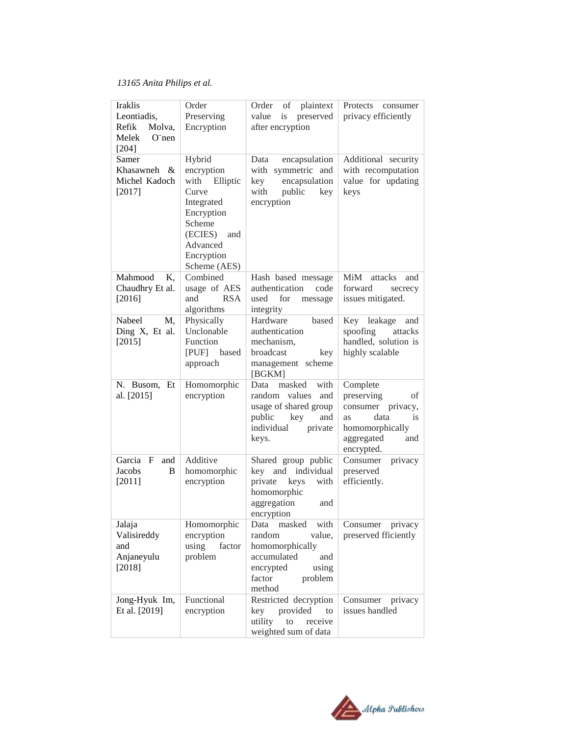| <b>Iraklis</b><br>Leontiadis.<br>Refik<br>Molva,<br>Melek<br>$O$ "nen<br>$[204]$ | Order<br>Preserving<br>Encryption                                                                                                                | Order<br>of<br>plaintext<br>value<br>is<br>preserved<br>after encryption                                                                 | Protects<br>consumer<br>privacy efficiently                                                                                        |
|----------------------------------------------------------------------------------|--------------------------------------------------------------------------------------------------------------------------------------------------|------------------------------------------------------------------------------------------------------------------------------------------|------------------------------------------------------------------------------------------------------------------------------------|
| Samer<br>Khasawneh &<br>Michel Kadoch<br>$[2017]$                                | Hybrid<br>encryption<br>with Elliptic<br>Curve<br>Integrated<br>Encryption<br>Scheme<br>(ECIES)<br>and<br>Advanced<br>Encryption<br>Scheme (AES) | encapsulation<br>Data<br>with symmetric and<br>encapsulation<br>key<br>with<br>public<br>key<br>encryption                               | Additional security<br>with recomputation<br>value for updating<br>keys                                                            |
| Mahmood<br>K,<br>Chaudhry Et al.<br>[2016]                                       | Combined<br>usage of AES<br>and<br><b>RSA</b><br>algorithms                                                                                      | Hash based message<br>authentication<br>code<br>used<br>for<br>message<br>integrity                                                      | MiM<br>attacks<br>and<br>forward<br>secrecy<br>issues mitigated.                                                                   |
| Nabeel<br>M,<br>Ding X, Et al.<br>[2015]                                         | Physically<br>Unclonable<br>Function<br>[PUF] based<br>approach                                                                                  | Hardware<br>based<br>authentication<br>mechanism.<br>broadcast<br>key<br>management scheme<br>[BGKM]                                     | Key leakage<br>and<br>spoofing<br>attacks<br>handled, solution is<br>highly scalable                                               |
| N. Busom, Et<br>al. [2015]                                                       | Homomorphic<br>encryption                                                                                                                        | masked<br>with<br>Data<br>random values<br>and<br>usage of shared group<br>public<br>key<br>and<br>individual<br>private<br>keys.        | Complete<br>preserving<br>οf<br>consumer privacy,<br>data<br><i>is</i><br>as<br>homomorphically<br>aggregated<br>and<br>encrypted. |
| Garcia<br>$\mathbf{F}$<br>and<br>Jacobs<br>B<br>$[2011]$                         | Additive<br>homomorphic<br>encryption                                                                                                            | Shared group public<br>key and individual<br>private<br>keys<br>with<br>homomorphic<br>aggregation<br>and<br>encryption                  | Consumer<br>privacy<br>preserved<br>efficiently.                                                                                   |
| Jalaja<br>Valisireddy<br>and<br>Anjaneyulu<br>$[2018]$                           | Homomorphic<br>encryption<br>using<br>factor<br>problem                                                                                          | masked<br>with<br>Data<br>random<br>value,<br>homomorphically<br>accumulated<br>and<br>using<br>encrypted<br>factor<br>problem<br>method | Consumer<br>privacy<br>preserved fficiently                                                                                        |
| Jong-Hyuk Im,<br>Et al. [2019]                                                   | Functional<br>encryption                                                                                                                         | Restricted decryption<br>provided<br>key<br>to<br>utility<br>receive<br>to<br>weighted sum of data                                       | Consumer<br>privacy<br>issues handled                                                                                              |

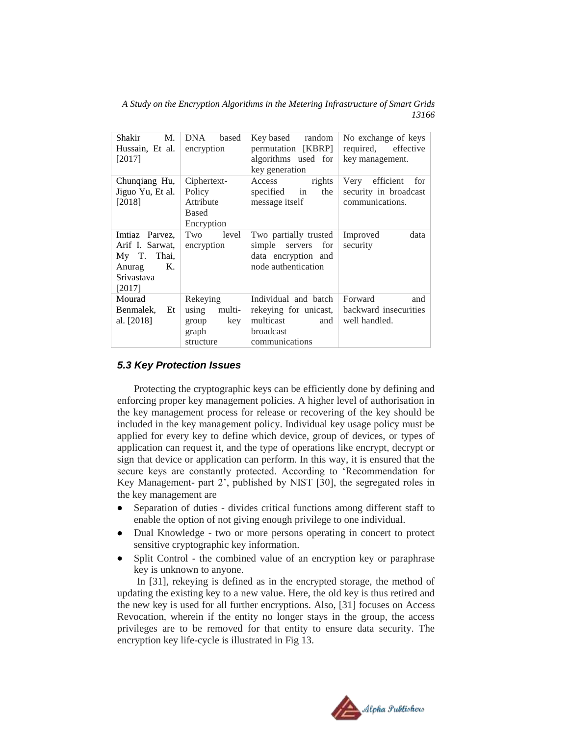*A Study on the Encryption Algorithms in the Metering Infrastructure of Smart Grids 13166*

| Shakir<br>М.<br>Hussain, Et al.<br>[2017]                                                         | DNA<br>based<br>encryption                                        | Key based random<br>permutation [KBRP]<br>algorithms used for<br>key generation                  | No exchange of keys<br>required, effective<br>key management.     |
|---------------------------------------------------------------------------------------------------|-------------------------------------------------------------------|--------------------------------------------------------------------------------------------------|-------------------------------------------------------------------|
| Chunqiang Hu,<br>Jiguo Yu, Et al.<br>$[2018]$                                                     | Ciphertext-<br>Policy<br>Attribute<br><b>Based</b><br>Encryption  | Access<br>rights<br>the<br>specified in<br>message itself                                        | Very efficient<br>for<br>security in broadcast<br>communications. |
| Imtiaz Parvez.<br>Arif I. Sarwat,<br>My T. Thai,<br>$K_{\cdot}$<br>Anurag<br>Srivastava<br>[2017] | Two<br>level<br>encryption                                        | Two partially trusted<br>simple servers for<br>data encryption and<br>node authentication        | Improved<br>data<br>security                                      |
| Mourad<br>Benmalek,<br>Et<br>al. [2018]                                                           | Rekeying<br>using<br>multi-<br>key<br>group<br>graph<br>structure | Individual and batch<br>rekeying for unicast,<br>multicast<br>and<br>broadcast<br>communications | Forward<br>and<br>backward insecurities<br>well handled.          |

# *5.3 Key Protection Issues*

Protecting the cryptographic keys can be efficiently done by defining and enforcing proper key management policies. A higher level of authorisation in the key management process for release or recovering of the key should be included in the key management policy. Individual key usage policy must be applied for every key to define which device, group of devices, or types of application can request it, and the type of operations like encrypt, decrypt or sign that device or application can perform. In this way, it is ensured that the secure keys are constantly protected. According to "Recommendation for Key Management- part 2", published by NIST [30], the segregated roles in the key management are

- Separation of duties divides critical functions among different staff to enable the option of not giving enough privilege to one individual.
- Dual Knowledge two or more persons operating in concert to protect sensitive cryptographic key information.
- Split Control the combined value of an encryption key or paraphrase key is unknown to anyone.

In [31], rekeying is defined as in the encrypted storage, the method of updating the existing key to a new value. Here, the old key is thus retired and the new key is used for all further encryptions. Also, [31] focuses on Access Revocation, wherein if the entity no longer stays in the group, the access privileges are to be removed for that entity to ensure data security. The encryption key life-cycle is illustrated in Fig 13.

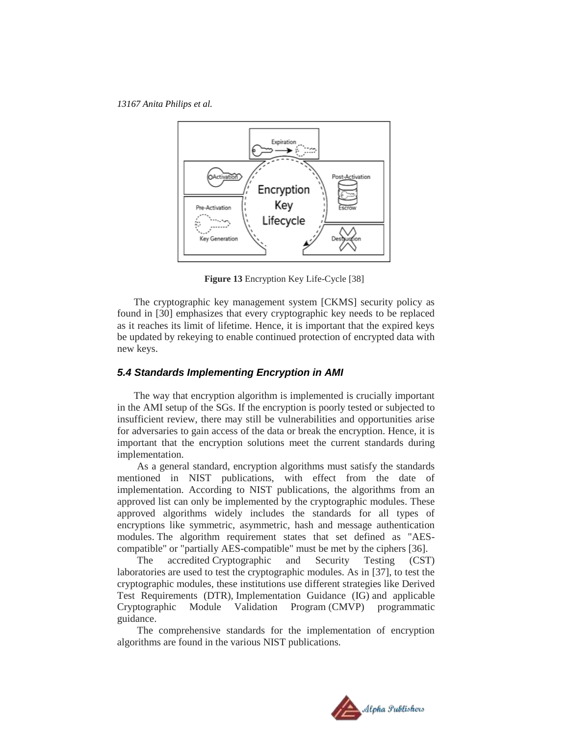

**Figure 13** Encryption Key Life-Cycle [38]

The cryptographic key management system [CKMS] security policy as found in [30] emphasizes that every cryptographic key needs to be replaced as it reaches its limit of lifetime. Hence, it is important that the expired keys be updated by rekeying to enable continued protection of encrypted data with new keys.

# *5.4 Standards Implementing Encryption in AMI*

The way that encryption algorithm is implemented is crucially important in the AMI setup of the SGs. If the encryption is poorly tested or subjected to insufficient review, there may still be vulnerabilities and opportunities arise for adversaries to gain access of the data or break the encryption. Hence, it is important that the encryption solutions meet the current standards during implementation.

As a general standard, encryption algorithms must satisfy the standards mentioned in NIST publications, with effect from the date of implementation. According to NIST publications, the algorithms from an approved list can only be implemented by the cryptographic modules. These approved algorithms widely includes the standards for all types of encryptions like symmetric, asymmetric, hash and message authentication modules. The algorithm requirement states that set defined as "AEScompatible" or "partially AES-compatible" must be met by the ciphers [36].

The accredited Cryptographic and Security Testing (CST) laboratories are used to test the cryptographic modules. As in [37], to test the cryptographic modules, these institutions use different strategies like Derived Test Requirements (DTR), Implementation Guidance (IG) and applicable Cryptographic Module Validation Program (CMVP) programmatic guidance.

The comprehensive standards for the implementation of encryption algorithms are found in the various NIST publications.

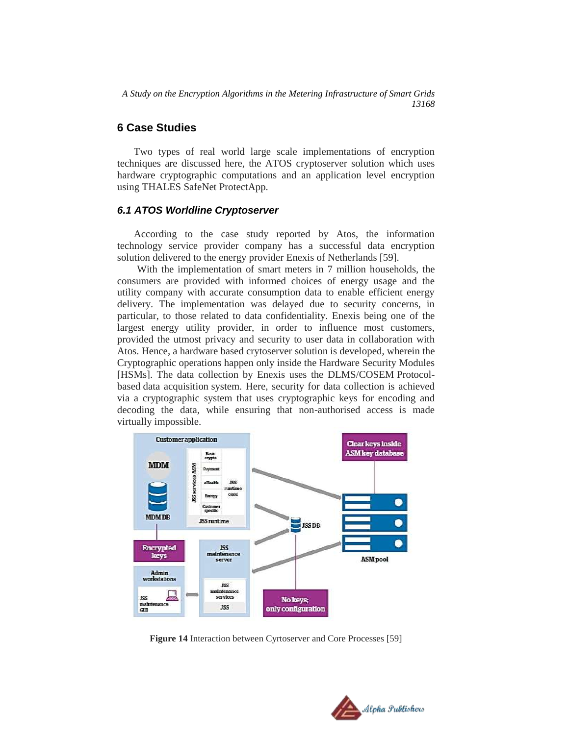# **6 Case Studies**

Two types of real world large scale implementations of encryption techniques are discussed here, the ATOS cryptoserver solution which uses hardware cryptographic computations and an application level encryption using THALES SafeNet ProtectApp.

### *6.1 ATOS Worldline Cryptoserver*

According to the case study reported by Atos, the information technology service provider company has a successful data encryption solution delivered to the energy provider Enexis of Netherlands [59].

With the implementation of smart meters in 7 million households, the consumers are provided with informed choices of energy usage and the utility company with accurate consumption data to enable efficient energy delivery. The implementation was delayed due to security concerns, in particular, to those related to data confidentiality. Enexis being one of the largest energy utility provider, in order to influence most customers, provided the utmost privacy and security to user data in collaboration with Atos. Hence, a hardware based crytoserver solution is developed, wherein the Cryptographic operations happen only inside the Hardware Security Modules [HSMs]. The data collection by Enexis uses the DLMS/COSEM Protocolbased data acquisition system. Here, security for data collection is achieved via a cryptographic system that uses cryptographic keys for encoding and decoding the data, while ensuring that non-authorised access is made virtually impossible.



**Figure 14** Interaction between Cyrtoserver and Core Processes [59]

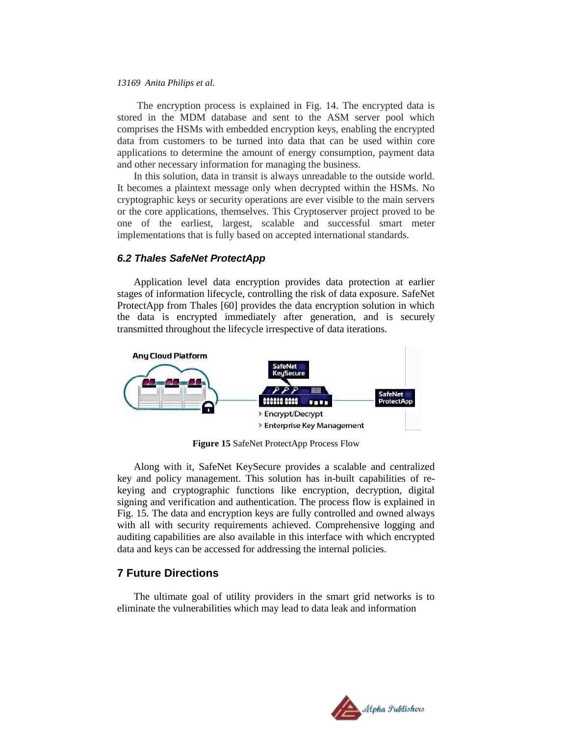The encryption process is explained in Fig. 14. The encrypted data is stored in the MDM database and sent to the ASM server pool which comprises the HSMs with embedded encryption keys, enabling the encrypted data from customers to be turned into data that can be used within core applications to determine the amount of energy consumption, payment data and other necessary information for managing the business.

In this solution, data in transit is always unreadable to the outside world. It becomes a plaintext message only when decrypted within the HSMs. No cryptographic keys or security operations are ever visible to the main servers or the core applications, themselves. This Cryptoserver project proved to be one of the earliest, largest, scalable and successful smart meter implementations that is fully based on accepted international standards.

### *6.2 Thales SafeNet ProtectApp*

Application level data encryption provides data protection at earlier stages of information lifecycle, controlling the risk of data exposure. SafeNet ProtectApp from Thales [60] provides the data encryption solution in which the data is encrypted immediately after generation, and is securely transmitted throughout the lifecycle irrespective of data iterations.



**Figure 15** SafeNet ProtectApp Process Flow

Along with it, SafeNet KeySecure provides a scalable and centralized key and policy management. This solution has in-built capabilities of rekeying and cryptographic functions like encryption, decryption, digital signing and verification and authentication. The process flow is explained in Fig. 15. The data and encryption keys are fully controlled and owned always with all with security requirements achieved. Comprehensive logging and auditing capabilities are also available in this interface with which encrypted data and keys can be accessed for addressing the internal policies.

# **7 Future Directions**

The ultimate goal of utility providers in the smart grid networks is to eliminate the vulnerabilities which may lead to data leak and information

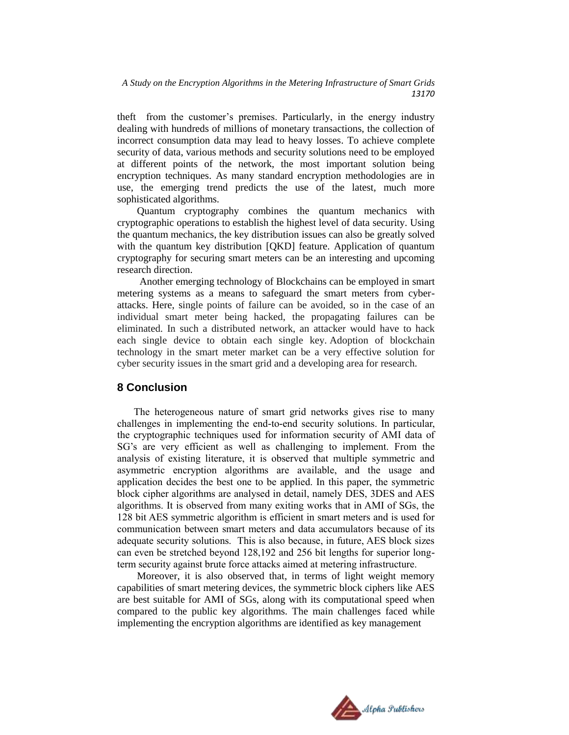theft from the customer"s premises. Particularly, in the energy industry dealing with hundreds of millions of monetary transactions, the collection of incorrect consumption data may lead to heavy losses. To achieve complete security of data, various methods and security solutions need to be employed at different points of the network, the most important solution being encryption techniques. As many standard encryption methodologies are in use, the emerging trend predicts the use of the latest, much more sophisticated algorithms.

Quantum cryptography combines the quantum mechanics with cryptographic operations to establish the highest level of data security. Using the quantum mechanics, the key distribution issues can also be greatly solved with the quantum key distribution [QKD] feature. Application of quantum cryptography for securing smart meters can be an interesting and upcoming research direction.

Another emerging technology of Blockchains can be employed in smart metering systems as a means to safeguard the smart meters from cyberattacks. Here, single points of failure can be avoided, so in the case of an individual smart meter being hacked, the propagating failures can be eliminated. In such a distributed network, an attacker would have to hack each single device to obtain each single key. Adoption of blockchain technology in the smart meter market can be a very effective solution for cyber security issues in the smart grid and a developing area for research.

# **8 Conclusion**

The heterogeneous nature of smart grid networks gives rise to many challenges in implementing the end-to-end security solutions. In particular, the cryptographic techniques used for information security of AMI data of SG"s are very efficient as well as challenging to implement. From the analysis of existing literature, it is observed that multiple symmetric and asymmetric encryption algorithms are available, and the usage and application decides the best one to be applied. In this paper, the symmetric block cipher algorithms are analysed in detail, namely DES, 3DES and AES algorithms. It is observed from many exiting works that in AMI of SGs, the 128 bit AES symmetric algorithm is efficient in smart meters and is used for communication between smart meters and data accumulators because of its adequate security solutions. This is also because, in future, AES block sizes can even be stretched beyond 128,192 and 256 bit lengths for superior longterm security against brute force attacks aimed at metering infrastructure.

Moreover, it is also observed that, in terms of light weight memory capabilities of smart metering devices, the symmetric block ciphers like AES are best suitable for AMI of SGs, along with its computational speed when compared to the public key algorithms. The main challenges faced while implementing the encryption algorithms are identified as key management

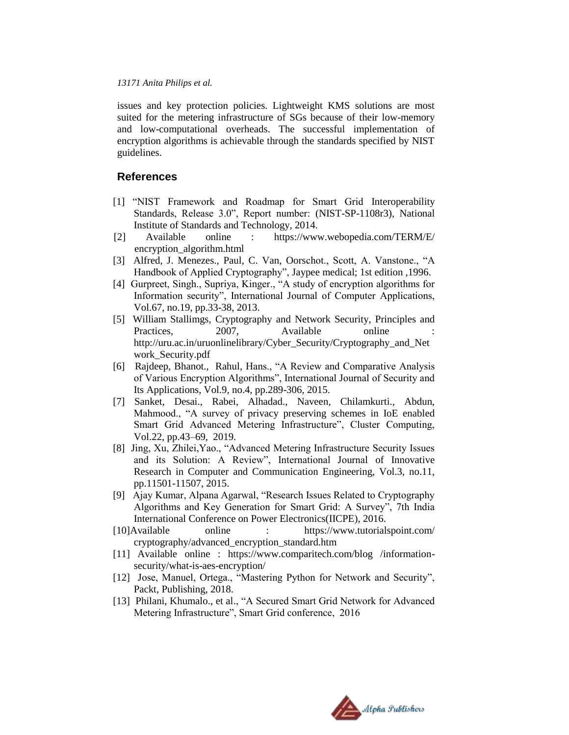issues and key protection policies. Lightweight KMS solutions are most suited for the metering infrastructure of SGs because of their low-memory and low-computational overheads. The successful implementation of encryption algorithms is achievable through the standards specified by NIST guidelines.

# **References**

- [1] "NIST Framework and Roadmap for Smart Grid Interoperability Standards, Release 3.0", Report number: (NIST-SP-1108r3), National Institute of Standards and Technology, 2014.
- [2] Available online : https://www.webopedia.com/TERM/E/ encryption\_algorithm.html
- [3] Alfred, J. Menezes., Paul, C. Van, Oorschot., Scott, A. Vanstone., "A Handbook of Applied Cryptography", Jaypee medical; 1st edition ,1996.
- [4] Gurpreet, Singh., Supriya, Kinger., "A study of encryption algorithms for Information security", International Journal of Computer Applications, Vol.67, no.19, pp.33-38, 2013.
- [5] William Stallimgs, Cryptography and Network Security, Principles and Practices, 2007, Available online http://uru.ac.in/uruonlinelibrary/Cyber\_Security/Cryptography\_and\_Net work\_Security.pdf
- [6] Rajdeep, Bhanot., Rahul, Hans., "A Review and Comparative Analysis of Various Encryption Algorithms", International Journal of Security and Its Applications, Vol.9, no.4, pp.289-306, 2015.
- [7] Sanket, Desai., Rabei, Alhadad., Naveen, Chilamkurti., Abdun, Mahmood., "A survey of privacy preserving schemes in IoE enabled Smart Grid Advanced Metering Infrastructure", Cluster Computing, Vol.22, pp.43–69, 2019.
- [8] Jing, Xu, Zhilei,Yao., "Advanced Metering Infrastructure Security Issues and its Solution: A Review", International Journal of Innovative Research in Computer and Communication Engineering, Vol.3, no.11, pp.11501-11507, 2015.
- [9] Ajay Kumar, Alpana Agarwal, "Research Issues Related to Cryptography Algorithms and Key Generation for Smart Grid: A Survey", 7th India International Conference on Power Electronics(IICPE), 2016.
- [10]Available online : https://www.tutorialspoint.com/ cryptography/advanced\_encryption\_standard.htm
- [11] Available online : https://www.comparitech.com/blog /informationsecurity/what-is-aes-encryption/
- [12] Jose, Manuel, Ortega., "Mastering Python for Network and Security", Packt, Publishing, 2018.
- [13] Philani, Khumalo., et al., "A Secured Smart Grid Network for Advanced Metering Infrastructure", Smart Grid conference, 2016

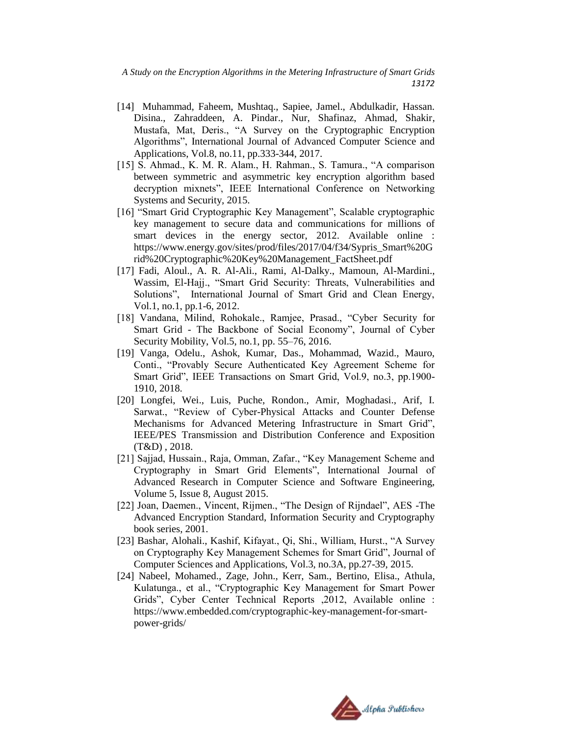- [14] Muhammad, Faheem, Mushtaq., Sapiee, Jamel., Abdulkadir, Hassan. Disina., Zahraddeen, A. Pindar., Nur, Shafinaz, Ahmad, Shakir, Mustafa, Mat, Deris., "A Survey on the Cryptographic Encryption Algorithms", International Journal of Advanced Computer Science and Applications, Vol.8, no.11, pp.333-344, 2017.
- [15] S. Ahmad., K. M. R. Alam., H. Rahman., S. Tamura., "A comparison between symmetric and asymmetric key encryption algorithm based decryption mixnets", IEEE International Conference on Networking Systems and Security, 2015.
- [16] "Smart Grid Cryptographic Key Management", Scalable cryptographic key management to secure data and communications for millions of smart devices in the energy sector, 2012. Available online : https://www.energy.gov/sites/prod/files/2017/04/f34/Sypris\_Smart%20G rid%20Cryptographic%20Key%20Management\_FactSheet.pdf
- [17] Fadi, Aloul., A. R. Al-Ali., Rami, Al-Dalky., Mamoun, Al-Mardini., Wassim, El-Hajj., "Smart Grid Security: Threats, Vulnerabilities and Solutions", International Journal of Smart Grid and Clean Energy, Vol.1, no.1, pp.1-6, 2012.
- [18] Vandana, Milind, Rohokale., Ramjee, Prasad., "Cyber Security for Smart Grid - The Backbone of Social Economy", Journal of Cyber Security Mobility, Vol.5, no.1, pp. 55–76, 2016.
- [19] Vanga, Odelu., Ashok, Kumar, Das., Mohammad, Wazid., Mauro, Conti., "Provably Secure Authenticated Key Agreement Scheme for Smart Grid", IEEE Transactions on Smart Grid, Vol.9, no.3, pp.1900- 1910, 2018.
- [20] Longfei, Wei., Luis, Puche, Rondon., Amir, Moghadasi., Arif, I. Sarwat., "Review of Cyber-Physical Attacks and Counter Defense Mechanisms for Advanced Metering Infrastructure in Smart Grid", IEEE/PES Transmission and Distribution Conference and Exposition (T&D) , 2018.
- [21] Sajjad, Hussain., Raja, Omman, Zafar., "Key Management Scheme and Cryptography in Smart Grid Elements", International Journal of Advanced Research in Computer Science and Software Engineering, Volume 5, Issue 8, August 2015.
- [22] Joan, Daemen., Vincent, Rijmen., "The Design of Rijndael", AES -The Advanced Encryption Standard, Information Security and Cryptography book series, 2001.
- [23] Bashar, Alohali., Kashif, Kifayat., Qi, Shi., William, Hurst., "A Survey on Cryptography Key Management Schemes for Smart Grid", Journal of Computer Sciences and Applications, Vol.3, no.3A, pp.27-39, 2015.
- [24] Nabeel, Mohamed., Zage, John., Kerr, Sam., Bertino, Elisa., Athula, Kulatunga., et al., "Cryptographic Key Management for Smart Power Grids", Cyber Center Technical Reports ,2012, Available online : https://www.embedded.com/cryptographic-key-management-for-smartpower-grids/

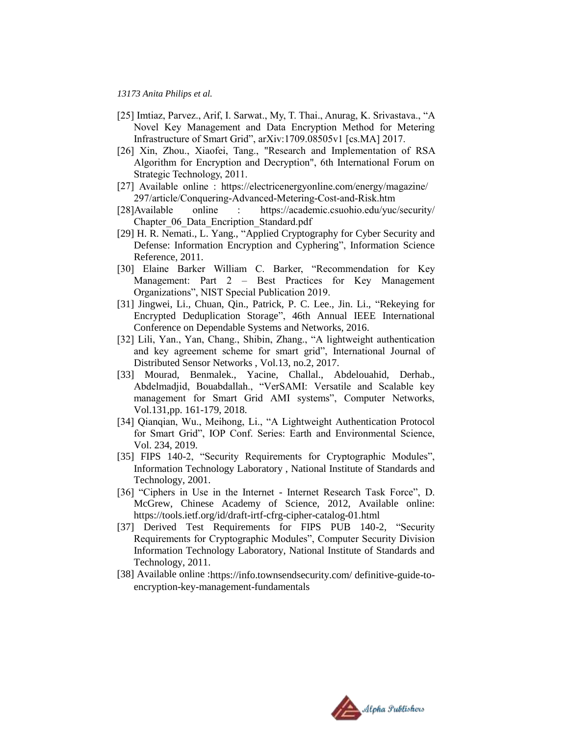- [25] Imtiaz, Parvez., Arif, I. Sarwat., My, T. Thai., Anurag, K. Srivastava., "A Novel Key Management and Data Encryption Method for Metering Infrastructure of Smart Grid", arXiv:1709.08505v1 [cs.MA] 2017.
- [26] Xin, Zhou., Xiaofei, Tang., "Research and Implementation of RSA Algorithm for Encryption and Decryption", 6th International Forum on Strategic Technology, 2011.
- [27] Available online : [https://electricenergyonline.com/energy/magazine/](https://electricenergyonline.com/energy/magazine/%20297/article/Conquering-Advanced-Metering-Cost-and-Risk.htm)  [297/article/Conquering-Advanced-Metering-Cost-and-Risk.htm](https://electricenergyonline.com/energy/magazine/%20297/article/Conquering-Advanced-Metering-Cost-and-Risk.htm)
- [28]Available online : <https://academic.csuohio.edu/yuc/security/> Chapter\_06\_Data\_Encription\_Standard.pdf
- [29] H. R. Nemati., L. Yang., "Applied Cryptography for Cyber Security and Defense: Information Encryption and Cyphering", Information Science Reference, 2011.
- [30] Elaine Barker William C. Barker, "Recommendation for Key Management: Part 2 – Best Practices for Key Management Organizations", NIST Special Publication 2019.
- [31] Jingwei, Li., Chuan, Qin., Patrick, P. C. Lee., Jin. Li., "Rekeying for Encrypted Deduplication Storage", 46th Annual IEEE International Conference on Dependable Systems and Networks, 2016.
- [32] Lili, Yan., Yan, Chang., Shibin, Zhang., "A lightweight authentication and key agreement scheme for smart grid", International Journal of Distributed Sensor Networks , Vol.13, no.2, 2017.
- [33] Mourad, Benmalek., Yacine, Challal., Abdelouahid, Derhab., Abdelmadjid, Bouabdallah., "VerSAMI: Versatile and Scalable key management for Smart Grid AMI systems", Computer Networks, Vol.131,pp. 161-179, 2018.
- [34] Qianqian, Wu., Meihong, Li., "A Lightweight Authentication Protocol for Smart Grid", IOP Conf. Series: Earth and Environmental Science, Vol. 234, 2019.
- [35] FIPS 140-2, "Security Requirements for Cryptographic Modules", Information Technology Laboratory , National Institute of Standards and Technology, 2001.
- [36] "Ciphers in Use in the Internet Internet Research Task Force", D. McGrew, Chinese Academy of Science, 2012, Available online: https://tools.ietf.org/id/draft-irtf-cfrg-cipher-catalog-01.html
- [37] Derived Test Requirements for FIPS PUB 140-2, "Security Requirements for Cryptographic Modules", Computer Security Division Information Technology Laboratory, National Institute of Standards and Technology, 2011.
- [38] Available online [:https://info.townsendsecurity.com/ definitive-guide-to](https://info.townsendsecurity.com/%20definitive-guide-to-encryption-key-management-fundamentals)[encryption-key-management-fundamentals](https://info.townsendsecurity.com/%20definitive-guide-to-encryption-key-management-fundamentals)

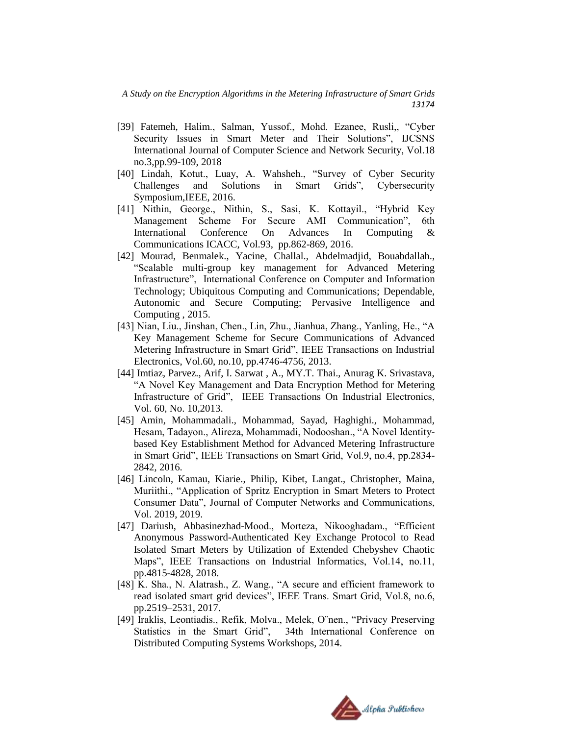- [39] Fatemeh, Halim., Salman, Yussof., Mohd. Ezanee, Rusli,, "Cyber Security Issues in Smart Meter and Their Solutions", IJCSNS International Journal of Computer Science and Network Security, Vol.18 no.3,pp.99-109, 2018
- [40] Lindah, Kotut., Luay, A. Wahsheh., "Survey of Cyber Security Challenges and Solutions in Smart Grids", Cybersecurity Symposium,IEEE, 2016.
- [41] Nithin, George., Nithin, S., Sasi, K. Kottayil., "Hybrid Key Management Scheme For Secure AMI Communication", 6th International Conference On Advances In Computing & Communications ICACC, Vol.93, pp.862-869, 2016.
- [42] Mourad, Benmalek., Yacine, Challal., Abdelmadjid, Bouabdallah., "Scalable multi-group key management for Advanced Metering Infrastructure", International Conference on Computer and Information Technology; Ubiquitous Computing and Communications; Dependable, Autonomic and Secure Computing; Pervasive Intelligence and Computing , 2015.
- [43] Nian, Liu., Jinshan, Chen., Lin, Zhu., Jianhua, Zhang., Yanling, He., "A Key Management Scheme for Secure Communications of Advanced Metering Infrastructure in Smart Grid", IEEE Transactions on Industrial Electronics, Vol.60, no.10, pp.4746-4756, 2013.
- [44] Imtiaz, Parvez., Arif, I. Sarwat , A., MY.T. Thai., Anurag K. Srivastava, "A Novel Key Management and Data Encryption Method for Metering Infrastructure of Grid", IEEE Transactions On Industrial Electronics, Vol. 60, No. 10,2013.
- [45] Amin, Mohammadali., Mohammad, Sayad, Haghighi., Mohammad, Hesam, Tadayon., Alireza, Mohammadi, Nodooshan., "A Novel Identitybased Key Establishment Method for Advanced Metering Infrastructure in Smart Grid", IEEE Transactions on Smart Grid, Vol.9, no.4, pp.2834- 2842, 2016.
- [46] Lincoln, Kamau, Kiarie., Philip, Kibet, Langat., Christopher, Maina, Muriithi., "Application of Spritz Encryption in Smart Meters to Protect Consumer Data", Journal of Computer Networks and Communications, Vol. 2019, 2019.
- [47] Dariush, Abbasinezhad-Mood., Morteza, Nikooghadam., "Efficient Anonymous Password-Authenticated Key Exchange Protocol to Read Isolated Smart Meters by Utilization of Extended Chebyshev Chaotic Maps", IEEE Transactions on Industrial Informatics, Vol.14, no.11, pp.4815-4828, 2018.
- [48] K. Sha., N. Alatrash., Z. Wang., "A secure and efficient framework to read isolated smart grid devices", IEEE Trans. Smart Grid, Vol.8, no.6, pp.2519–2531, 2017.
- [49] Iraklis, Leontiadis., Refik, Molva., Melek, O¨nen., "Privacy Preserving Statistics in the Smart Grid", 34th International Conference on Distributed Computing Systems Workshops, 2014.

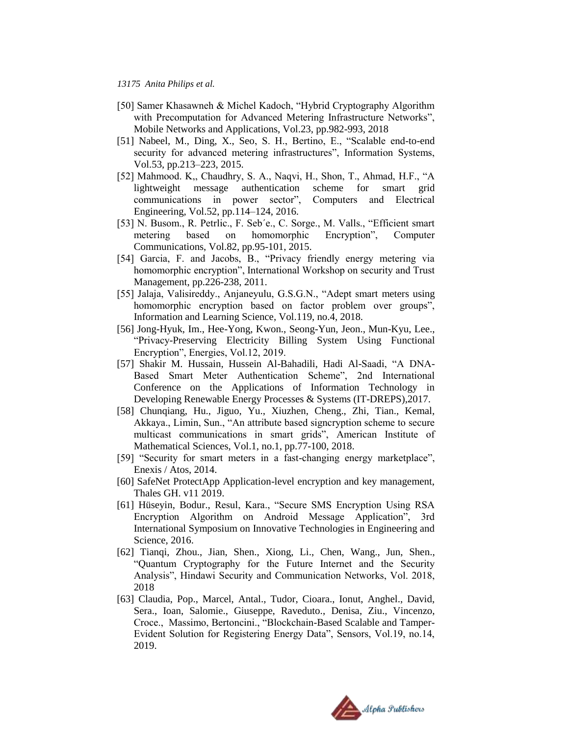- [50] Samer Khasawneh & Michel Kadoch, "Hybrid Cryptography Algorithm with Precomputation for Advanced Metering Infrastructure Networks", Mobile Networks and Applications, Vol.23, pp.982-993, 2018
- [51] Nabeel, M., Ding, X., Seo, S. H., Bertino, E., "Scalable end-to-end security for advanced metering infrastructures", Information Systems, Vol.53, pp.213–223, 2015.
- [52] Mahmood. K,, Chaudhry, S. A., Naqvi, H., Shon, T., Ahmad, H.F., "A lightweight message authentication scheme for smart grid communications in power sector", Computers and Electrical Engineering, Vol.52, pp.114–124, 2016.
- [53] N. Busom., R. Petrlic., F. Seb´e., C. Sorge., M. Valls., "Efficient smart metering based on homomorphic Encryption", Computer Communications, Vol.82, pp.95-101, 2015.
- [54] Garcia, F. and Jacobs, B., "Privacy friendly energy metering via homomorphic encryption", International Workshop on security and Trust Management, pp.226-238, 2011.
- [55] Jalaja, Valisireddy., Anjaneyulu, G.S.G.N., "Adept smart meters using homomorphic encryption based on factor problem over groups", Information and Learning Science, Vol.119, no.4, 2018.
- [56] Jong-Hyuk, Im., Hee-Yong, Kwon., Seong-Yun, Jeon., Mun-Kyu, Lee., "Privacy-Preserving Electricity Billing System Using Functional Encryption", Energies, Vol.12, 2019.
- [57] Shakir M. Hussain, Hussein Al-Bahadili, Hadi Al-Saadi, "A DNA-Based Smart Meter Authentication Scheme", 2nd International Conference on the Applications of Information Technology in Developing Renewable Energy Processes & Systems (IT-DREPS),2017.
- [58] Chunqiang, Hu., Jiguo, Yu., Xiuzhen, Cheng., Zhi, Tian., Kemal, Akkaya., Limin, Sun., "An attribute based signcryption scheme to secure multicast communications in smart grids", American Institute of Mathematical Sciences, Vol.1, no.1, pp.77-100, 2018.
- [59] "Security for smart meters in a fast-changing energy marketplace", Enexis / Atos, 2014.
- [60] SafeNet ProtectApp Application-level encryption and key management, Thales GH. v11 2019.
- [61] Hüseyin, Bodur., Resul, Kara., "Secure SMS Encryption Using RSA Encryption Algorithm on Android Message Application", 3rd International Symposium on Innovative Technologies in Engineering and Science, 2016.
- [62] Tianqi, Zhou., Jian, Shen., Xiong, Li., Chen, Wang., Jun, Shen., "Quantum Cryptography for the Future Internet and the Security Analysis", Hindawi Security and Communication Networks, Vol. 2018, 2018
- [63] Claudia, Pop., Marcel, Antal., Tudor, Cioara., Ionut, Anghel., David, Sera., Ioan, Salomie., Giuseppe, Raveduto., Denisa, Ziu., Vincenzo, Croce., Massimo, Bertoncini., "Blockchain-Based Scalable and Tamper-Evident Solution for Registering Energy Data", Sensors, Vol.19, no.14, 2019.